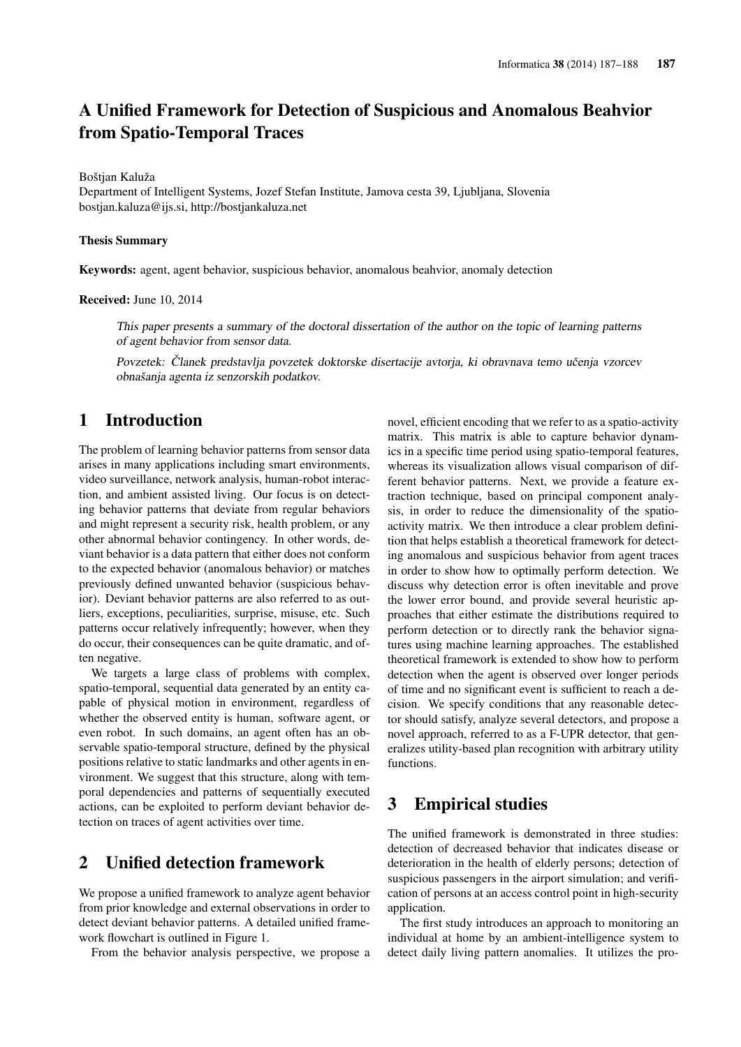# A Unified Framework for Detection of Suspicious and Anomalous Beahvior from Spatio-Temporal Traces

Boštjan Kaluža

Department of Intelligent Systems, Jozef Stefan Institute, Jamova cesta 39, Ljubljana, Slovenia bostjan.kaluza@ijs.si, http://bostjankaluza.net

#### Thesis Summary

Keywords: agent, agent behavior, suspicious behavior, anomalous beahvior, anomaly detection

Received: June 10, 2014

This paper presents a summary of the doctoral dissertation of the author on the topic of learning patterns of agent behavior from sensor data.

Povzetek: Članek predstavlja povzetek doktorske disertacije avtorja, ki obravnava temo učenja vzorcev obnašanja agenta iz senzorskih podatkov.

### 1 Introduction

The problem of learning behavior patterns from sensor data arises in many applications including smart environments, video surveillance, network analysis, human-robot interaction, and ambient assisted living. Our focus is on detecting behavior patterns that deviate from regular behaviors and might represent a security risk, health problem, or any other abnormal behavior contingency. In other words, deviant behavior is a data pattern that either does not conform to the expected behavior (anomalous behavior) or matches previously defined unwanted behavior (suspicious behavior). Deviant behavior patterns are also referred to as outliers, exceptions, peculiarities, surprise, misuse, etc. Such patterns occur relatively infrequently; however, when they do occur, their consequences can be quite dramatic, and often negative.

We targets a large class of problems with complex, spatio-temporal, sequential data generated by an entity capable of physical motion in environment, regardless of whether the observed entity is human, software agent, or even robot. In such domains, an agent often has an observable spatio-temporal structure, defined by the physical positions relative to static landmarks and other agents in environment. We suggest that this structure, along with temporal dependencies and patterns of sequentially executed actions, can be exploited to perform deviant behavior detection on traces of agent activities over time.

## 2 Unified detection framework

We propose a unified framework to analyze agent behavior from prior knowledge and external observations in order to detect deviant behavior patterns. A detailed unified framework flowchart is outlined in Figure 1.

From the behavior analysis perspective, we propose a

novel, efficient encoding that we refer to as a spatio-activity matrix. This matrix is able to capture behavior dynamics in a specific time period using spatio-temporal features, whereas its visualization allows visual comparison of different behavior patterns. Next, we provide a feature extraction technique, based on principal component analysis, in order to reduce the dimensionality of the spatioactivity matrix. We then introduce a clear problem definition that helps establish a theoretical framework for detecting anomalous and suspicious behavior from agent traces in order to show how to optimally perform detection. We discuss why detection error is often inevitable and prove the lower error bound, and provide several heuristic approaches that either estimate the distributions required to perform detection or to directly rank the behavior signatures using machine learning approaches. The established theoretical framework is extended to show how to perform detection when the agent is observed over longer periods of time and no significant event is sufficient to reach a decision. We specify conditions that any reasonable detector should satisfy, analyze several detectors, and propose a novel approach, referred to as a F-UPR detector, that generalizes utility-based plan recognition with arbitrary utility functions.

#### 3 Empirical studies

The unified framework is demonstrated in three studies: detection of decreased behavior that indicates disease or deterioration in the health of elderly persons; detection of suspicious passengers in the airport simulation; and verification of persons at an access control point in high-security application.

The first study introduces an approach to monitoring an individual at home by an ambient-intelligence system to detect daily living pattern anomalies. It utilizes the pro-